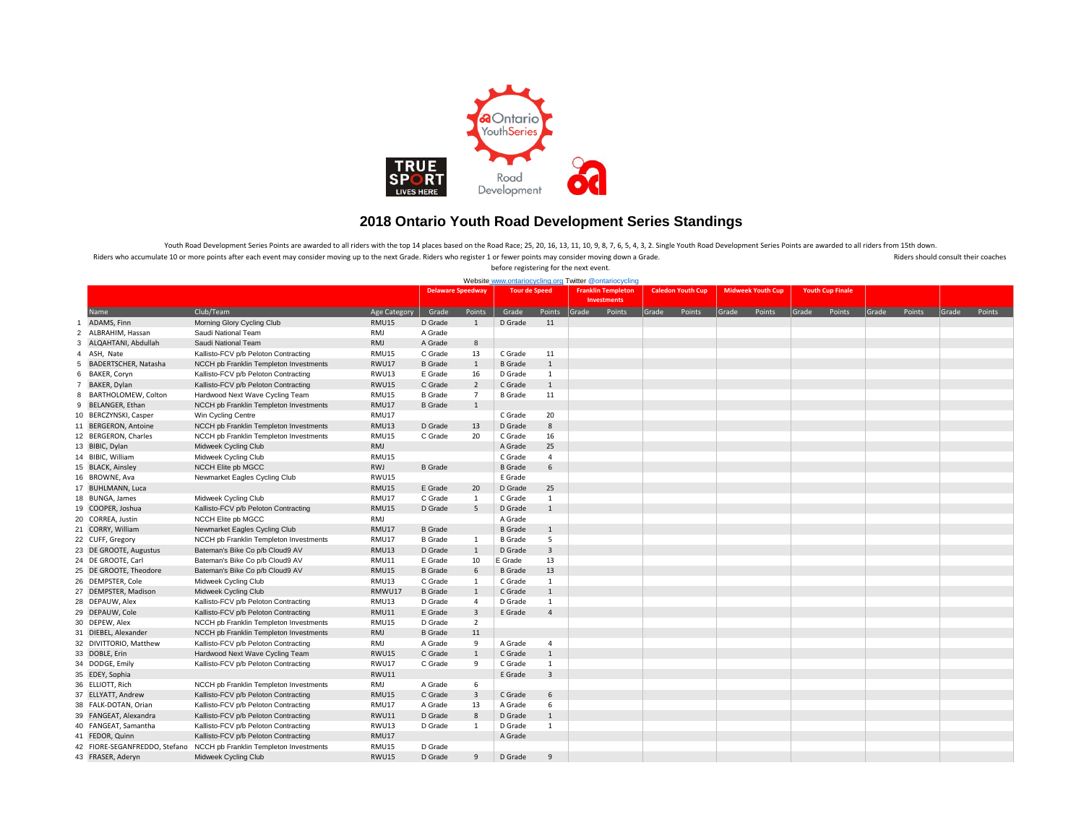

## **2018 Ontario Youth Road Development Series Standings**

Riders who accumulate 10 or more points after each event may consider moving up to the next Grade. Riders who register 1 or fewer points may consider moving down a Grade. And a Riders should consult their coaches before registering for the next event. Youth Road Development Series Points are awarded to all riders with the top 14 places based on the Road Race; 25, 20, 16, 13, 11, 10, 9, 8, 7, 6, 5, 4, 3, 2. Single Youth Road Development Series Points are awarded to all r

| Website www.ontariocycling.org Twitter @ontariocycling |                                                                      |                 |                |                          |                    |                      |                                                 |       |                          |       |                          |       |                         |       |        |       |        |
|--------------------------------------------------------|----------------------------------------------------------------------|-----------------|----------------|--------------------------|--------------------|----------------------|-------------------------------------------------|-------|--------------------------|-------|--------------------------|-------|-------------------------|-------|--------|-------|--------|
|                                                        |                                                                      |                 |                | <b>Delaware Speedway</b> |                    | <b>Tour de Speed</b> | <b>Franklin Templeton</b><br><b>Investments</b> |       | <b>Caledon Youth Cup</b> |       | <b>Midweek Youth Cup</b> |       | <b>Youth Cup Finale</b> |       |        |       |        |
| Name                                                   | Club/Team                                                            | Age Category    | Grade          | Points                   | Grade              | Points               | Grade<br>Points                                 | Grade | Points                   | Grade | Points                   | Grade | Points                  | Grade | Points | Grade | Points |
| ADAMS, Finn                                            | Morning Glory Cycling Club                                           | <b>RMU15</b>    | D Grade        | $\mathbf{1}$             | D Grade            | 11                   |                                                 |       |                          |       |                          |       |                         |       |        |       |        |
| ALBRAHIM, Hassan<br>$\overline{2}$                     | Saudi National Team                                                  | RMJ             | A Grade        |                          |                    |                      |                                                 |       |                          |       |                          |       |                         |       |        |       |        |
| ALQAHTANI, Abdullah<br>3                               | Saudi National Team                                                  | RMJ             | A Grade        | 8                        |                    |                      |                                                 |       |                          |       |                          |       |                         |       |        |       |        |
| ASH, Nate<br>$\overline{4}$                            | Kallisto-FCV p/b Peloton Contracting                                 | <b>RMU15</b>    | C Grade        | 13                       | C Grade            | 11                   |                                                 |       |                          |       |                          |       |                         |       |        |       |        |
| 5 BADERTSCHER, Natasha                                 | NCCH pb Franklin Templeton Investments                               | <b>RWU17</b>    | <b>B</b> Grade | $\mathbf{1}$             | <b>B</b> Grade     | $\mathbf{1}$         |                                                 |       |                          |       |                          |       |                         |       |        |       |        |
| 6<br>BAKER, Coryn                                      | Kallisto-FCV p/b Peloton Contracting                                 | RWU13           | E Grade        | 16                       | D Grade            | $\mathbf{1}$         |                                                 |       |                          |       |                          |       |                         |       |        |       |        |
| BAKER, Dylan<br>$\overline{7}$                         | Kallisto-FCV p/b Peloton Contracting                                 | <b>RWU15</b>    | C Grade        | $\overline{2}$           | C Grade            | $\mathbf{1}$         |                                                 |       |                          |       |                          |       |                         |       |        |       |        |
| BARTHOLOMEW, Colton<br>8                               | Hardwood Next Wave Cycling Team                                      | <b>RMU15</b>    | <b>B</b> Grade | $\overline{7}$           | <b>B</b> Grade     | 11                   |                                                 |       |                          |       |                          |       |                         |       |        |       |        |
| 9 BELANGER, Ethan                                      | NCCH pb Franklin Templeton Investments                               | <b>RMU17</b>    | <b>B</b> Grade | 1                        |                    |                      |                                                 |       |                          |       |                          |       |                         |       |        |       |        |
| 10 BERCZYNSKI, Casper                                  | Win Cycling Centre                                                   | RMU17           |                |                          | C Grade            | 20                   |                                                 |       |                          |       |                          |       |                         |       |        |       |        |
| 11 BERGERON, Antoine                                   | NCCH pb Franklin Templeton Investments                               | <b>RMU13</b>    | D Grade        | 13                       | D Grade            | $\bf8$               |                                                 |       |                          |       |                          |       |                         |       |        |       |        |
| 12 BERGERON, Charles                                   | NCCH pb Franklin Templeton Investments                               | <b>RMU15</b>    | C Grade        | 20                       | C Grade            | 16                   |                                                 |       |                          |       |                          |       |                         |       |        |       |        |
| 13 BIBIC, Dylan                                        | Midweek Cycling Club                                                 | RMJ             |                |                          | A Grade            | 25                   |                                                 |       |                          |       |                          |       |                         |       |        |       |        |
| 14 BIBIC, William                                      | Midweek Cycling Club                                                 | <b>RMU15</b>    |                |                          | C Grade            | $\overline{4}$       |                                                 |       |                          |       |                          |       |                         |       |        |       |        |
| 15 BLACK, Ainsley                                      | NCCH Elite pb MGCC                                                   | RWJ             | <b>B</b> Grade |                          | <b>B</b> Grade     | 6                    |                                                 |       |                          |       |                          |       |                         |       |        |       |        |
| 16 BROWNE, Ava                                         | Newmarket Eagles Cycling Club                                        | <b>RWU15</b>    |                |                          | E Grade            |                      |                                                 |       |                          |       |                          |       |                         |       |        |       |        |
| 17 BUHLMANN, Luca                                      |                                                                      | RMU15           | E Grade        | 20                       | D Grade            | 25                   |                                                 |       |                          |       |                          |       |                         |       |        |       |        |
| 18 BUNGA, James                                        | Midweek Cycling Club                                                 | <b>RMU17</b>    | C Grade        | 1                        | C Grade            | $\mathbf{1}$         |                                                 |       |                          |       |                          |       |                         |       |        |       |        |
| 19 COOPER, Joshua                                      | Kallisto-FCV p/b Peloton Contracting                                 | RMU15           | D Grade        | 5                        | D Grade            | $\mathbf{1}$         |                                                 |       |                          |       |                          |       |                         |       |        |       |        |
| 20 CORREA, Justin                                      | NCCH Elite pb MGCC                                                   | RMJ             |                |                          | A Grade            |                      |                                                 |       |                          |       |                          |       |                         |       |        |       |        |
| 21 CORRY, William                                      | Newmarket Eagles Cycling Club                                        | RMU17           | <b>B</b> Grade |                          | <b>B</b> Grade     | $\mathbf{1}$         |                                                 |       |                          |       |                          |       |                         |       |        |       |        |
| 22 CUFF, Gregory                                       | NCCH pb Franklin Templeton Investments                               | <b>RMU17</b>    | <b>B</b> Grade | 1                        | <b>B</b> Grade     | 5                    |                                                 |       |                          |       |                          |       |                         |       |        |       |        |
| 23 DE GROOTE, Augustus                                 | Bateman's Bike Co p/b Cloud9 AV                                      | <b>RMU13</b>    | D Grade        | $\mathbf{1}$             | D Grade            | 3                    |                                                 |       |                          |       |                          |       |                         |       |        |       |        |
| 24 DE GROOTE, Carl                                     | Bateman's Bike Co p/b Cloud9 AV                                      | RMU11           | E Grade        | 10                       | E Grade            | 13                   |                                                 |       |                          |       |                          |       |                         |       |        |       |        |
| 25 DE GROOTE, Theodore                                 | Bateman's Bike Co p/b Cloud9 AV                                      | <b>RMU15</b>    | <b>B</b> Grade | 6                        | <b>B</b> Grade     | 13                   |                                                 |       |                          |       |                          |       |                         |       |        |       |        |
|                                                        |                                                                      |                 | C Grade        |                          |                    | $\mathbf{1}$         |                                                 |       |                          |       |                          |       |                         |       |        |       |        |
| 26 DEMPSTER, Cole                                      | Midweek Cycling Club                                                 | RMU13<br>RMWU17 | <b>B</b> Grade | $\mathbf{1}$             | C Grade<br>C Grade | $\mathbf{1}$         |                                                 |       |                          |       |                          |       |                         |       |        |       |        |
| 27 DEMPSTER, Madison                                   | Midweek Cycling Club                                                 |                 |                | $\mathbf{1}$             |                    |                      |                                                 |       |                          |       |                          |       |                         |       |        |       |        |
| 28 DEPAUW, Alex                                        | Kallisto-FCV p/b Peloton Contracting                                 | RMU13           | D Grade        | $\overline{4}$           | D Grade            | $\mathbf{1}$         |                                                 |       |                          |       |                          |       |                         |       |        |       |        |
| 29 DEPAUW, Cole                                        | Kallisto-FCV p/b Peloton Contracting                                 | <b>RMU11</b>    | E Grade        | $\overline{3}$           | E Grade            | $\overline{4}$       |                                                 |       |                          |       |                          |       |                         |       |        |       |        |
| 30 DEPEW, Alex                                         | NCCH pb Franklin Templeton Investments                               | <b>RMU15</b>    | D Grade        | $\overline{2}$           |                    |                      |                                                 |       |                          |       |                          |       |                         |       |        |       |        |
| 31 DIEBEL, Alexander                                   | NCCH pb Franklin Templeton Investments                               | RMJ             | <b>B</b> Grade | 11                       |                    |                      |                                                 |       |                          |       |                          |       |                         |       |        |       |        |
| 32 DIVITTORIO, Matthew                                 | Kallisto-FCV p/b Peloton Contracting                                 | RMJ             | A Grade        | 9                        | A Grade            | 4                    |                                                 |       |                          |       |                          |       |                         |       |        |       |        |
| 33 DOBLE, Erin                                         | Hardwood Next Wave Cycling Team                                      | <b>RWU15</b>    | C Grade        | $\mathbf{1}$             | C Grade            | $\mathbf{1}$         |                                                 |       |                          |       |                          |       |                         |       |        |       |        |
| 34 DODGE, Emily                                        | Kallisto-FCV p/b Peloton Contracting                                 | <b>RWU17</b>    | C Grade        | 9                        | C Grade            | $\mathbf{1}$         |                                                 |       |                          |       |                          |       |                         |       |        |       |        |
| 35 EDEY, Sophia                                        |                                                                      | <b>RWU11</b>    |                |                          | E Grade            | $\overline{3}$       |                                                 |       |                          |       |                          |       |                         |       |        |       |        |
| 36 ELLIOTT, Rich                                       | NCCH pb Franklin Templeton Investments                               | RMJ             | A Grade        | 6                        |                    |                      |                                                 |       |                          |       |                          |       |                         |       |        |       |        |
| 37 ELLYATT, Andrew                                     | Kallisto-FCV p/b Peloton Contracting                                 | <b>RMU15</b>    | C Grade        | $\overline{3}$           | C Grade            | 6                    |                                                 |       |                          |       |                          |       |                         |       |        |       |        |
| 38 FALK-DOTAN, Orian                                   | Kallisto-FCV p/b Peloton Contracting                                 | <b>RMU17</b>    | A Grade        | 13                       | A Grade            | 6                    |                                                 |       |                          |       |                          |       |                         |       |        |       |        |
| 39 FANGEAT, Alexandra                                  | Kallisto-FCV p/b Peloton Contracting                                 | <b>RWU11</b>    | D Grade        | 8                        | D Grade            | $\mathbf{1}$         |                                                 |       |                          |       |                          |       |                         |       |        |       |        |
| 40 FANGEAT, Samantha                                   | Kallisto-FCV p/b Peloton Contracting                                 | RWU13           | D Grade        | $\mathbf{1}$             | D Grade            | $\mathbf{1}$         |                                                 |       |                          |       |                          |       |                         |       |        |       |        |
| 41 FEDOR, Quinn                                        | Kallisto-FCV p/b Peloton Contracting                                 | RMU17           |                |                          | A Grade            |                      |                                                 |       |                          |       |                          |       |                         |       |        |       |        |
|                                                        | 42 FIORE-SEGANFREDDO, Stefano NCCH pb Franklin Templeton Investments | <b>RMU15</b>    | D Grade        |                          |                    |                      |                                                 |       |                          |       |                          |       |                         |       |        |       |        |
| 43 FRASER, Aderyn                                      | Midweek Cycling Club                                                 | <b>RWU15</b>    | D Grade        | $\overline{9}$           | D Grade            | 9                    |                                                 |       |                          |       |                          |       |                         |       |        |       |        |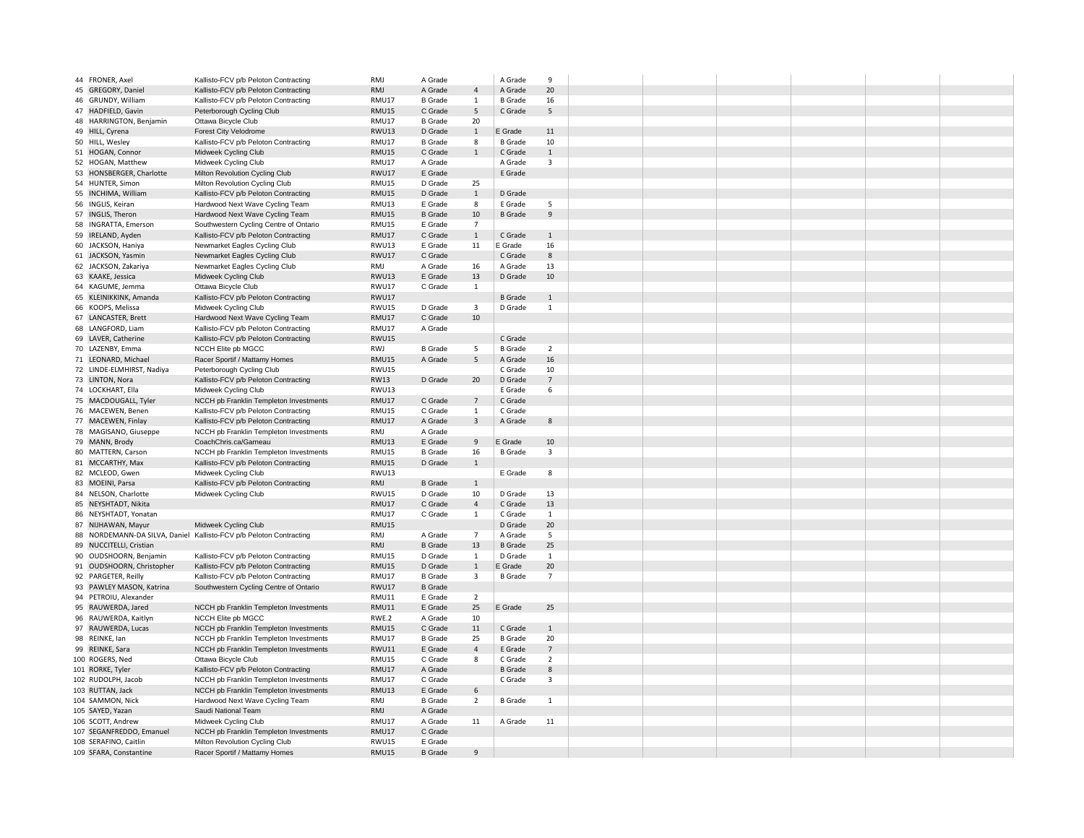| 44 FRONER, Axel           | Kallisto-FCV p/b Peloton Contracting                               | RMJ          | A Grade        |                | A Grade        | $\mathbf{q}$            |  |  |  |
|---------------------------|--------------------------------------------------------------------|--------------|----------------|----------------|----------------|-------------------------|--|--|--|
| 45 GREGORY, Daniel        | Kallisto-FCV p/b Peloton Contracting                               | RMJ          | A Grade        | $\overline{4}$ | A Grade        | 20                      |  |  |  |
| 46 GRUNDY, William        | Kallisto-FCV p/b Peloton Contracting                               | RMU17        | <b>B</b> Grade | $\mathbf{1}$   | <b>B</b> Grade | 16                      |  |  |  |
| 47 HADFIELD, Gavin        | Peterborough Cycling Club                                          | RMU15        | C Grade        | 5              | C Grade        | 5                       |  |  |  |
| 48 HARRINGTON, Benjamin   | Ottawa Bicycle Club                                                | RMU17        | <b>B</b> Grade | 20             |                |                         |  |  |  |
| 49 HILL, Cyrena           | <b>Forest City Velodrome</b>                                       | RWU13        | D Grade        | $\mathbf{1}$   | E Grade        | 11                      |  |  |  |
| 50 HILL, Wesley           | Kallisto-FCV p/b Peloton Contracting                               | RMU17        | <b>B</b> Grade | 8              | <b>B</b> Grade | 10                      |  |  |  |
| 51 HOGAN, Connor          | Midweek Cycling Club                                               | <b>RMU15</b> | C Grade        | $\mathbf{1}$   | C Grade        | $\mathbf{1}$            |  |  |  |
| 52 HOGAN, Matthew         | Midweek Cycling Club                                               | RMU17        | A Grade        |                | A Grade        | $\overline{3}$          |  |  |  |
| 53 HONSBERGER, Charlotte  | Milton Revolution Cycling Club                                     | <b>RWU17</b> | E Grade        |                | E Grade        |                         |  |  |  |
| 54 HUNTER, Simon          | Milton Revolution Cycling Club                                     | RMU15        | D Grade        | 25             |                |                         |  |  |  |
| 55 INCHIMA, William       | Kallisto-FCV p/b Peloton Contracting                               | <b>RMU15</b> | D Grade        | $\mathbf{1}$   | D Grade        |                         |  |  |  |
| 56 INGLIS, Keiran         | Hardwood Next Wave Cycling Team                                    | RMU13        | E Grade        | 8              | E Grade        | 5                       |  |  |  |
| 57 INGLIS, Theron         | Hardwood Next Wave Cycling Team                                    | <b>RMU15</b> | <b>B</b> Grade | 10             | <b>B</b> Grade | $\overline{9}$          |  |  |  |
| 58 INGRATTA, Emerson      | Southwestern Cycling Centre of Ontario                             | RMU15        | E Grade        | $\overline{7}$ |                |                         |  |  |  |
| 59 IRELAND, Ayden         | Kallisto-FCV p/b Peloton Contracting                               | RMU17        | C Grade        | $\mathbf{1}$   | C Grade        | $\mathbf{1}$            |  |  |  |
| 60 JACKSON, Haniya        | Newmarket Eagles Cycling Club                                      | RWU13        | E Grade        | 11             | E Grade        | 16                      |  |  |  |
| 61 JACKSON, Yasmin        | Newmarket Eagles Cycling Club                                      | <b>RWU17</b> | C Grade        |                | C Grade        | 8                       |  |  |  |
| 62 JACKSON, Zakariya      | Newmarket Eagles Cycling Club                                      | RMJ          | A Grade        | 16             | A Grade        | 13                      |  |  |  |
| 63 KAAKE, Jessica         | Midweek Cycling Club                                               | RWU13        | E Grade        | 13             | D Grade        | 10                      |  |  |  |
| 64 KAGUME, Jemma          | Ottawa Bicycle Club                                                | RWU17        | C Grade        | $\mathbf{1}$   |                |                         |  |  |  |
| 65 KLEINIKKINK, Amanda    | Kallisto-FCV p/b Peloton Contracting                               | <b>RWU17</b> |                |                | <b>B</b> Grade | $\mathbf{1}$            |  |  |  |
| 66 KOOPS, Melissa         | Midweek Cycling Club                                               | RWU15        | D Grade        | 3              | D Grade        | $\mathbf{1}$            |  |  |  |
| 67 LANCASTER, Brett       | Hardwood Next Wave Cycling Team                                    | RMU17        | C Grade        | 10             |                |                         |  |  |  |
| 68 LANGFORD, Liam         | Kallisto-FCV p/b Peloton Contracting                               | RMU17        | A Grade        |                |                |                         |  |  |  |
| 69 LAVER, Catherine       | Kallisto-FCV p/b Peloton Contracting                               | RWU15        |                |                | C Grade        |                         |  |  |  |
| 70 LAZENBY, Emma          | NCCH Elite pb MGCC                                                 | RWJ          | <b>B</b> Grade | 5              | <b>B</b> Grade | $\overline{2}$          |  |  |  |
| 71 LEONARD, Michael       | Racer Sportif / Mattamy Homes                                      | <b>RMU15</b> | A Grade        | 5              | A Grade        | 16                      |  |  |  |
| 72 LINDE-ELMHIRST, Nadiya | Peterborough Cycling Club                                          | RWU15        |                |                | C Grade        | 10                      |  |  |  |
| 73 LINTON, Nora           | Kallisto-FCV p/b Peloton Contracting                               | <b>RW13</b>  | D Grade        | 20             | D Grade        | $\overline{7}$          |  |  |  |
| 74 LOCKHART, Ella         | Midweek Cycling Club                                               | RWU13        |                |                | E Grade        | 6                       |  |  |  |
| 75 MACDOUGALL, Tyler      | NCCH pb Franklin Templeton Investments                             | RMU17        | C Grade        | $\overline{7}$ | C Grade        |                         |  |  |  |
| 76 MACEWEN, Benen         | Kallisto-FCV p/b Peloton Contracting                               | RMU15        | C Grade        | $\,1\,$        | C Grade        |                         |  |  |  |
| 77 MACEWEN, Finlay        | Kallisto-FCV p/b Peloton Contracting                               | RMU17        | A Grade        | $\overline{3}$ | A Grade        | 8                       |  |  |  |
| 78 MAGISANO, Giuseppe     | NCCH pb Franklin Templeton Investments                             | RMJ          | A Grade        |                |                |                         |  |  |  |
| 79 MANN, Brody            | CoachChris.ca/Garneau                                              | RMU13        | E Grade        | 9              | E Grade        | 10                      |  |  |  |
| 80 MATTERN, Carson        | NCCH pb Franklin Templeton Investments                             | RMU15        | <b>B</b> Grade | 16             | <b>B</b> Grade | $\overline{\mathbf{3}}$ |  |  |  |
| 81 MCCARTHY, Max          | Kallisto-FCV p/b Peloton Contracting                               | <b>RMU15</b> | D Grade        | $\mathbf{1}$   |                |                         |  |  |  |
| 82 MCLEOD, Gwen           | Midweek Cycling Club                                               | RWU13        |                |                | E Grade        | 8                       |  |  |  |
| 83 MOEINI, Parsa          | Kallisto-FCV p/b Peloton Contracting                               | RMJ          | <b>B</b> Grade | $1\,$          |                |                         |  |  |  |
| 84 NELSON, Charlotte      | Midweek Cycling Club                                               | RWU15        | D Grade        | 10             | D Grade        | 13                      |  |  |  |
| 85 NEYSHTADT, Nikita      |                                                                    | <b>RMU17</b> | C Grade        | $\overline{4}$ | C Grade        | 13                      |  |  |  |
| 86 NEYSHTADT, Yonatan     |                                                                    | RMU17        | C Grade        | $\mathbf{1}$   | C Grade        | $\mathbf{1}$            |  |  |  |
| 87 NIJHAWAN, Mayur        | Midweek Cycling Club                                               | <b>RMU15</b> |                |                | D Grade        | 20                      |  |  |  |
|                           | 88 NORDEMANN-DA SILVA, Daniel Kallisto-FCV p/b Peloton Contracting | <b>RMJ</b>   | A Grade        | $\overline{7}$ | A Grade        | 5                       |  |  |  |
| 89 NUCCITELLI, Cristian   |                                                                    | RMJ          | <b>B</b> Grade | 13             | <b>B</b> Grade | 25                      |  |  |  |
| 90 OUDSHOORN, Benjamin    | Kallisto-FCV p/b Peloton Contracting                               | RMU15        | D Grade        | $\mathbf{1}$   | D Grade        | $\mathbf{1}$            |  |  |  |
| 91 OUDSHOORN, Christopher | Kallisto-FCV p/b Peloton Contracting                               | <b>RMU15</b> | D Grade        | $\,1\,$        | E Grade        | 20                      |  |  |  |
| 92 PARGETER, Reilly       | Kallisto-FCV p/b Peloton Contracting                               | <b>RMU17</b> | <b>B</b> Grade | $\overline{3}$ | <b>B</b> Grade | $\overline{7}$          |  |  |  |
| 93 PAWLEY MASON, Katrina  | Southwestern Cycling Centre of Ontario                             | RWU17        | <b>B</b> Grade |                |                |                         |  |  |  |
| 94 PETROIU, Alexander     |                                                                    | RMU11        | E Grade        | $\overline{2}$ |                |                         |  |  |  |
| 95 RAUWERDA, Jared        | NCCH pb Franklin Templeton Investments                             | RMU11        | E Grade        | 25             | E Grade        | 25                      |  |  |  |
| 96 RAUWERDA, Kaitlyn      | NCCH Elite pb MGCC                                                 | RWE.2        | A Grade        | 10             |                |                         |  |  |  |
| 97 RAUWERDA, Lucas        | NCCH pb Franklin Templeton Investments                             | <b>RMU15</b> | C Grade        | 11             | C Grade        | $\mathbf{1}$            |  |  |  |
| 98 REINKE, lan            | NCCH pb Franklin Templeton Investments                             | RMU17        | <b>B</b> Grade | 25             | <b>B</b> Grade | 20                      |  |  |  |
| 99 REINKE, Sara           | NCCH pb Franklin Templeton Investments                             | <b>RWU11</b> | E Grade        | $\overline{4}$ | E Grade        | $\overline{7}$          |  |  |  |
| 100 ROGERS, Ned           | Ottawa Bicycle Club                                                | RMU15        | C Grade        | 8              | C Grade        | $\overline{2}$          |  |  |  |
| 101 RORKE, Tyler          | Kallisto-FCV p/b Peloton Contracting                               | <b>RMU17</b> | A Grade        |                | <b>B</b> Grade | 8                       |  |  |  |
| 102 RUDOLPH, Jacob        | NCCH pb Franklin Templeton Investments                             | RMU17        | C Grade        |                | C Grade        | 3                       |  |  |  |
| 103 RUTTAN, Jack          | NCCH pb Franklin Templeton Investments                             | RMU13        | E Grade        | 6              |                |                         |  |  |  |
| 104 SAMMON, Nick          | Hardwood Next Wave Cycling Team                                    | RMJ          | <b>B</b> Grade | $\overline{2}$ | <b>B</b> Grade | $\mathbf{1}$            |  |  |  |
| 105 SAYED, Yazan          | Saudi National Team                                                | RMJ          | A Grade        |                |                |                         |  |  |  |
| 106 SCOTT, Andrew         | Midweek Cycling Club                                               | RMU17        | A Grade        | 11             | A Grade        | 11                      |  |  |  |
| 107 SEGANFREDDO, Emanuel  | NCCH pb Franklin Templeton Investments                             | RMU17        | C Grade        |                |                |                         |  |  |  |
| 108 SERAFINO, Caitlin     | Milton Revolution Cycling Club                                     | RWU15        | E Grade        |                |                |                         |  |  |  |
| 109 SFARA, Constantine    | Racer Sportif / Mattamy Homes                                      | <b>RMU15</b> | <b>B</b> Grade | $\mathbf{q}$   |                |                         |  |  |  |